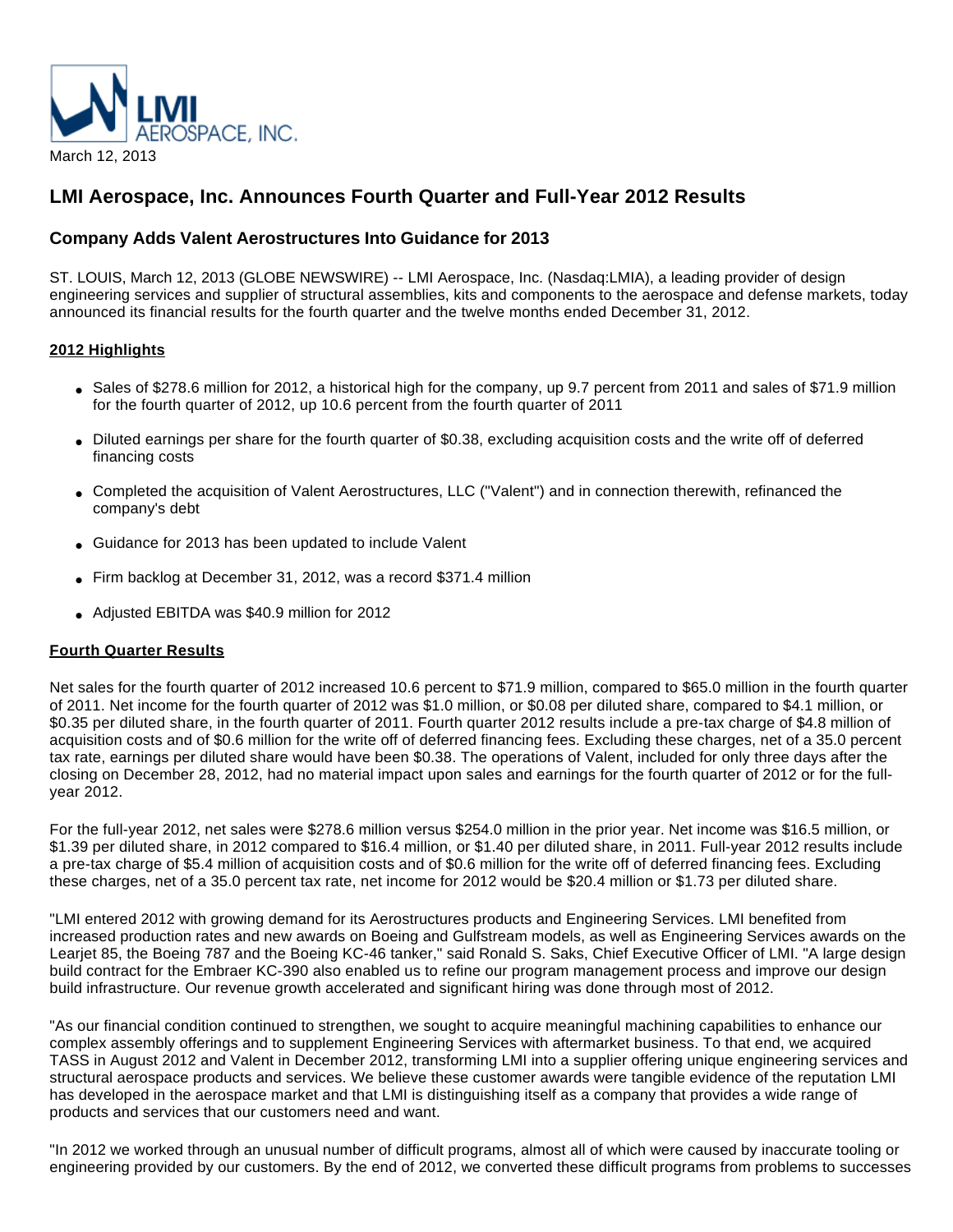

# **LMI Aerospace, Inc. Announces Fourth Quarter and Full-Year 2012 Results**

## **Company Adds Valent Aerostructures Into Guidance for 2013**

ST. LOUIS, March 12, 2013 (GLOBE NEWSWIRE) -- LMI Aerospace, Inc. (Nasdaq:LMIA), a leading provider of design engineering services and supplier of structural assemblies, kits and components to the aerospace and defense markets, today announced its financial results for the fourth quarter and the twelve months ended December 31, 2012.

## **2012 Highlights**

- Sales of \$278.6 million for 2012, a historical high for the company, up 9.7 percent from 2011 and sales of \$71.9 million for the fourth quarter of 2012, up 10.6 percent from the fourth quarter of 2011
- Diluted earnings per share for the fourth quarter of \$0.38, excluding acquisition costs and the write off of deferred financing costs
- Completed the acquisition of Valent Aerostructures, LLC ("Valent") and in connection therewith, refinanced the company's debt
- Guidance for 2013 has been updated to include Valent
- Firm backlog at December 31, 2012, was a record \$371.4 million
- Adjusted EBITDA was \$40.9 million for 2012

## **Fourth Quarter Results**

Net sales for the fourth quarter of 2012 increased 10.6 percent to \$71.9 million, compared to \$65.0 million in the fourth quarter of 2011. Net income for the fourth quarter of 2012 was \$1.0 million, or \$0.08 per diluted share, compared to \$4.1 million, or \$0.35 per diluted share, in the fourth quarter of 2011. Fourth quarter 2012 results include a pre-tax charge of \$4.8 million of acquisition costs and of \$0.6 million for the write off of deferred financing fees. Excluding these charges, net of a 35.0 percent tax rate, earnings per diluted share would have been \$0.38. The operations of Valent, included for only three days after the closing on December 28, 2012, had no material impact upon sales and earnings for the fourth quarter of 2012 or for the fullyear 2012.

For the full-year 2012, net sales were \$278.6 million versus \$254.0 million in the prior year. Net income was \$16.5 million, or \$1.39 per diluted share, in 2012 compared to \$16.4 million, or \$1.40 per diluted share, in 2011. Full-year 2012 results include a pre-tax charge of \$5.4 million of acquisition costs and of \$0.6 million for the write off of deferred financing fees. Excluding these charges, net of a 35.0 percent tax rate, net income for 2012 would be \$20.4 million or \$1.73 per diluted share.

"LMI entered 2012 with growing demand for its Aerostructures products and Engineering Services. LMI benefited from increased production rates and new awards on Boeing and Gulfstream models, as well as Engineering Services awards on the Learjet 85, the Boeing 787 and the Boeing KC-46 tanker," said Ronald S. Saks, Chief Executive Officer of LMI. "A large design build contract for the Embraer KC-390 also enabled us to refine our program management process and improve our design build infrastructure. Our revenue growth accelerated and significant hiring was done through most of 2012.

"As our financial condition continued to strengthen, we sought to acquire meaningful machining capabilities to enhance our complex assembly offerings and to supplement Engineering Services with aftermarket business. To that end, we acquired TASS in August 2012 and Valent in December 2012, transforming LMI into a supplier offering unique engineering services and structural aerospace products and services. We believe these customer awards were tangible evidence of the reputation LMI has developed in the aerospace market and that LMI is distinguishing itself as a company that provides a wide range of products and services that our customers need and want.

"In 2012 we worked through an unusual number of difficult programs, almost all of which were caused by inaccurate tooling or engineering provided by our customers. By the end of 2012, we converted these difficult programs from problems to successes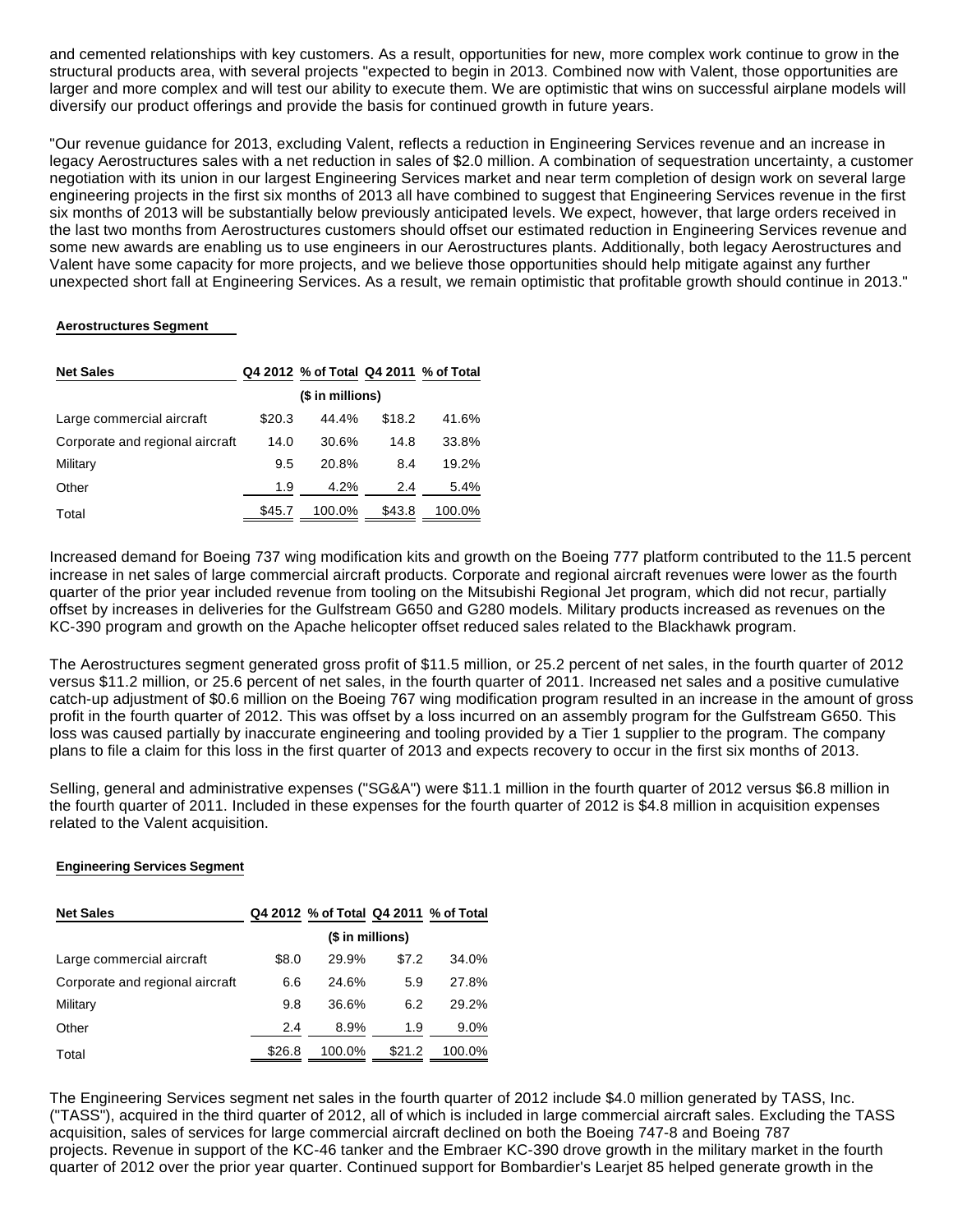and cemented relationships with key customers. As a result, opportunities for new, more complex work continue to grow in the structural products area, with several projects "expected to begin in 2013. Combined now with Valent, those opportunities are larger and more complex and will test our ability to execute them. We are optimistic that wins on successful airplane models will diversify our product offerings and provide the basis for continued growth in future years.

"Our revenue guidance for 2013, excluding Valent, reflects a reduction in Engineering Services revenue and an increase in legacy Aerostructures sales with a net reduction in sales of \$2.0 million. A combination of sequestration uncertainty, a customer negotiation with its union in our largest Engineering Services market and near term completion of design work on several large engineering projects in the first six months of 2013 all have combined to suggest that Engineering Services revenue in the first six months of 2013 will be substantially below previously anticipated levels. We expect, however, that large orders received in the last two months from Aerostructures customers should offset our estimated reduction in Engineering Services revenue and some new awards are enabling us to use engineers in our Aerostructures plants. Additionally, both legacy Aerostructures and Valent have some capacity for more projects, and we believe those opportunities should help mitigate against any further unexpected short fall at Engineering Services. As a result, we remain optimistic that profitable growth should continue in 2013."

#### **Aerostructures Segment**

| <b>Net Sales</b>                |        | Q4 2012 % of Total Q4 2011 % of Total |        |        |
|---------------------------------|--------|---------------------------------------|--------|--------|
|                                 |        | (\$ in millions)                      |        |        |
| Large commercial aircraft       | \$20.3 | 44.4%                                 | \$18.2 | 41.6%  |
| Corporate and regional aircraft | 14.0   | 30.6%                                 | 14.8   | 33.8%  |
| Military                        | 9.5    | 20.8%                                 | 8.4    | 19.2%  |
| Other                           | 1.9    | 4.2%                                  | 2.4    | 5.4%   |
| Total                           | \$45.7 | 100.0%                                | \$43.8 | 100.0% |

Increased demand for Boeing 737 wing modification kits and growth on the Boeing 777 platform contributed to the 11.5 percent increase in net sales of large commercial aircraft products. Corporate and regional aircraft revenues were lower as the fourth quarter of the prior year included revenue from tooling on the Mitsubishi Regional Jet program, which did not recur, partially offset by increases in deliveries for the Gulfstream G650 and G280 models. Military products increased as revenues on the KC-390 program and growth on the Apache helicopter offset reduced sales related to the Blackhawk program.

The Aerostructures segment generated gross profit of \$11.5 million, or 25.2 percent of net sales, in the fourth quarter of 2012 versus \$11.2 million, or 25.6 percent of net sales, in the fourth quarter of 2011. Increased net sales and a positive cumulative catch-up adjustment of \$0.6 million on the Boeing 767 wing modification program resulted in an increase in the amount of gross profit in the fourth quarter of 2012. This was offset by a loss incurred on an assembly program for the Gulfstream G650. This loss was caused partially by inaccurate engineering and tooling provided by a Tier 1 supplier to the program. The company plans to file a claim for this loss in the first quarter of 2013 and expects recovery to occur in the first six months of 2013.

Selling, general and administrative expenses ("SG&A") were \$11.1 million in the fourth quarter of 2012 versus \$6.8 million in the fourth quarter of 2011. Included in these expenses for the fourth quarter of 2012 is \$4.8 million in acquisition expenses related to the Valent acquisition.

## **Engineering Services Segment**

| <b>Net Sales</b>                |                  | Q4 2012 % of Total Q4 2011 % of Total |        |        |
|---------------------------------|------------------|---------------------------------------|--------|--------|
|                                 | (\$ in millions) |                                       |        |        |
| Large commercial aircraft       | \$8.0            | 29.9%                                 | \$7.2  | 34.0%  |
| Corporate and regional aircraft | 6.6              | 24.6%                                 | 5.9    | 27.8%  |
| Military                        | 9.8              | 36.6%                                 | 6.2    | 29.2%  |
| Other                           | 2.4              | 8.9%                                  | 1.9    | 9.0%   |
| Total                           | \$26.8           | 100.0%                                | \$21.2 | 100.0% |

The Engineering Services segment net sales in the fourth quarter of 2012 include \$4.0 million generated by TASS, Inc. ("TASS"), acquired in the third quarter of 2012, all of which is included in large commercial aircraft sales. Excluding the TASS acquisition, sales of services for large commercial aircraft declined on both the Boeing 747-8 and Boeing 787 projects. Revenue in support of the KC-46 tanker and the Embraer KC-390 drove growth in the military market in the fourth quarter of 2012 over the prior year quarter. Continued support for Bombardier's Learjet 85 helped generate growth in the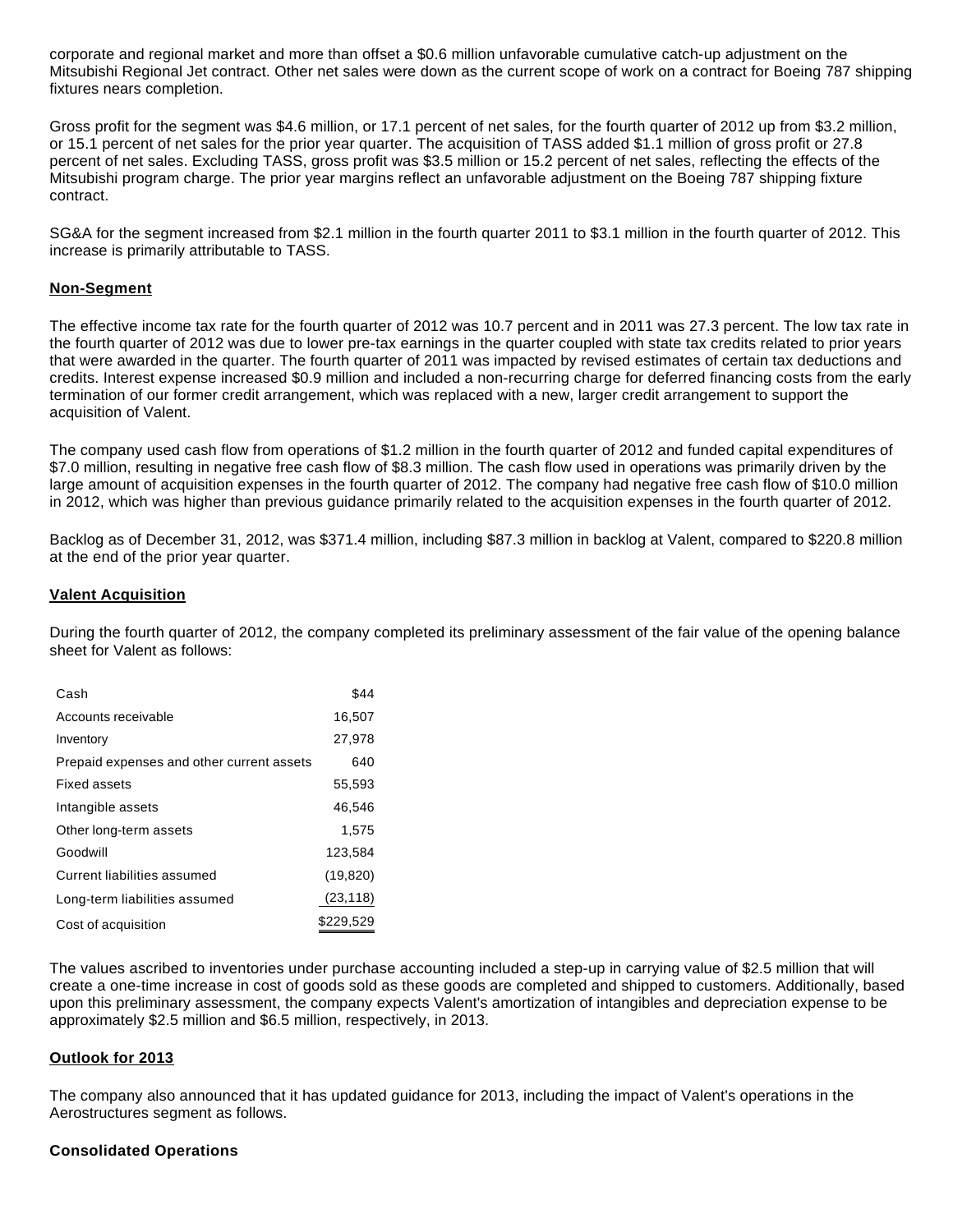corporate and regional market and more than offset a \$0.6 million unfavorable cumulative catch-up adjustment on the Mitsubishi Regional Jet contract. Other net sales were down as the current scope of work on a contract for Boeing 787 shipping fixtures nears completion.

Gross profit for the segment was \$4.6 million, or 17.1 percent of net sales, for the fourth quarter of 2012 up from \$3.2 million, or 15.1 percent of net sales for the prior year quarter. The acquisition of TASS added \$1.1 million of gross profit or 27.8 percent of net sales. Excluding TASS, gross profit was \$3.5 million or 15.2 percent of net sales, reflecting the effects of the Mitsubishi program charge. The prior year margins reflect an unfavorable adjustment on the Boeing 787 shipping fixture contract.

SG&A for the segment increased from \$2.1 million in the fourth quarter 2011 to \$3.1 million in the fourth quarter of 2012. This increase is primarily attributable to TASS.

## **Non-Segment**

The effective income tax rate for the fourth quarter of 2012 was 10.7 percent and in 2011 was 27.3 percent. The low tax rate in the fourth quarter of 2012 was due to lower pre-tax earnings in the quarter coupled with state tax credits related to prior years that were awarded in the quarter. The fourth quarter of 2011 was impacted by revised estimates of certain tax deductions and credits. Interest expense increased \$0.9 million and included a non-recurring charge for deferred financing costs from the early termination of our former credit arrangement, which was replaced with a new, larger credit arrangement to support the acquisition of Valent.

The company used cash flow from operations of \$1.2 million in the fourth quarter of 2012 and funded capital expenditures of \$7.0 million, resulting in negative free cash flow of \$8.3 million. The cash flow used in operations was primarily driven by the large amount of acquisition expenses in the fourth quarter of 2012. The company had negative free cash flow of \$10.0 million in 2012, which was higher than previous guidance primarily related to the acquisition expenses in the fourth quarter of 2012.

Backlog as of December 31, 2012, was \$371.4 million, including \$87.3 million in backlog at Valent, compared to \$220.8 million at the end of the prior year quarter.

## **Valent Acquisition**

During the fourth quarter of 2012, the company completed its preliminary assessment of the fair value of the opening balance sheet for Valent as follows:

| Cash                                      | \$44      |
|-------------------------------------------|-----------|
| Accounts receivable                       | 16,507    |
| Inventory                                 | 27,978    |
| Prepaid expenses and other current assets | 640       |
| Fixed assets                              | 55,593    |
| Intangible assets                         | 46.546    |
| Other long-term assets                    | 1.575     |
| Goodwill                                  | 123,584   |
| Current liabilities assumed               | (19, 820) |
| Long-term liabilities assumed             | (23, 118) |
| Cost of acquisition                       | \$229,529 |

The values ascribed to inventories under purchase accounting included a step-up in carrying value of \$2.5 million that will create a one-time increase in cost of goods sold as these goods are completed and shipped to customers. Additionally, based upon this preliminary assessment, the company expects Valent's amortization of intangibles and depreciation expense to be approximately \$2.5 million and \$6.5 million, respectively, in 2013.

## **Outlook for 2013**

The company also announced that it has updated guidance for 2013, including the impact of Valent's operations in the Aerostructures segment as follows.

## **Consolidated Operations**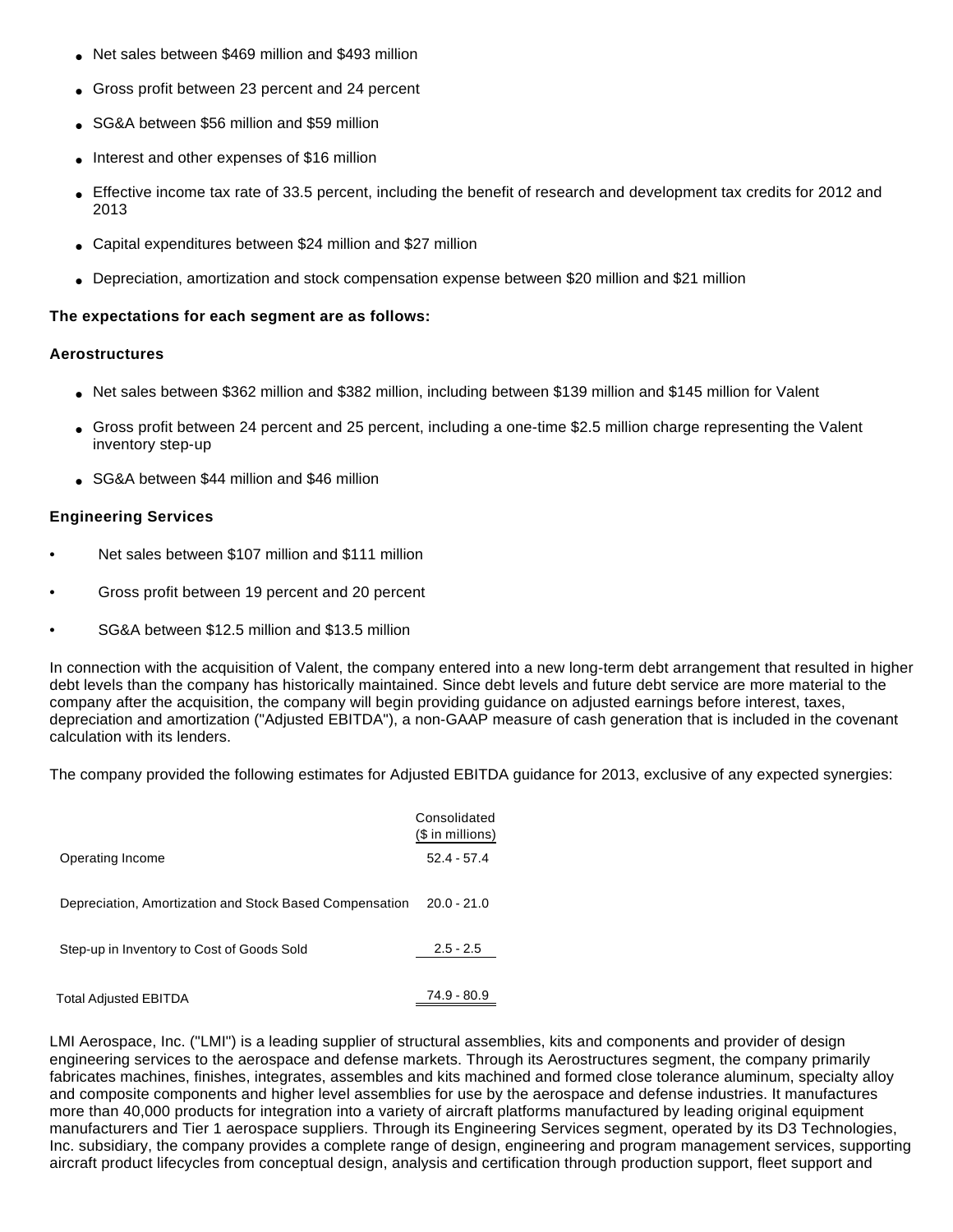- Net sales between \$469 million and \$493 million
- Gross profit between 23 percent and 24 percent
- SG&A between \$56 million and \$59 million
- Interest and other expenses of \$16 million
- Effective income tax rate of 33.5 percent, including the benefit of research and development tax credits for 2012 and 2013
- Capital expenditures between \$24 million and \$27 million
- Depreciation, amortization and stock compensation expense between \$20 million and \$21 million

## **The expectations for each segment are as follows:**

## **Aerostructures**

- Net sales between \$362 million and \$382 million, including between \$139 million and \$145 million for Valent
- Gross profit between 24 percent and 25 percent, including a one-time \$2.5 million charge representing the Valent inventory step-up
- SG&A between \$44 million and \$46 million

## **Engineering Services**

- Net sales between \$107 million and \$111 million
- Gross profit between 19 percent and 20 percent
- SG&A between \$12.5 million and \$13.5 million

In connection with the acquisition of Valent, the company entered into a new long-term debt arrangement that resulted in higher debt levels than the company has historically maintained. Since debt levels and future debt service are more material to the company after the acquisition, the company will begin providing guidance on adjusted earnings before interest, taxes, depreciation and amortization ("Adjusted EBITDA"), a non-GAAP measure of cash generation that is included in the covenant calculation with its lenders.

The company provided the following estimates for Adjusted EBITDA guidance for 2013, exclusive of any expected synergies:

|                                                         | Consolidated<br>(\$ in millions) |
|---------------------------------------------------------|----------------------------------|
| Operating Income                                        | $52.4 - 57.4$                    |
| Depreciation, Amortization and Stock Based Compensation | $20.0 - 21.0$                    |
| Step-up in Inventory to Cost of Goods Sold              | $2.5 - 2.5$                      |
| <b>Total Adjusted EBITDA</b>                            | 74.9 - 80.9                      |

LMI Aerospace, Inc. ("LMI") is a leading supplier of structural assemblies, kits and components and provider of design engineering services to the aerospace and defense markets. Through its Aerostructures segment, the company primarily fabricates machines, finishes, integrates, assembles and kits machined and formed close tolerance aluminum, specialty alloy and composite components and higher level assemblies for use by the aerospace and defense industries. It manufactures more than 40,000 products for integration into a variety of aircraft platforms manufactured by leading original equipment manufacturers and Tier 1 aerospace suppliers. Through its Engineering Services segment, operated by its D3 Technologies, Inc. subsidiary, the company provides a complete range of design, engineering and program management services, supporting aircraft product lifecycles from conceptual design, analysis and certification through production support, fleet support and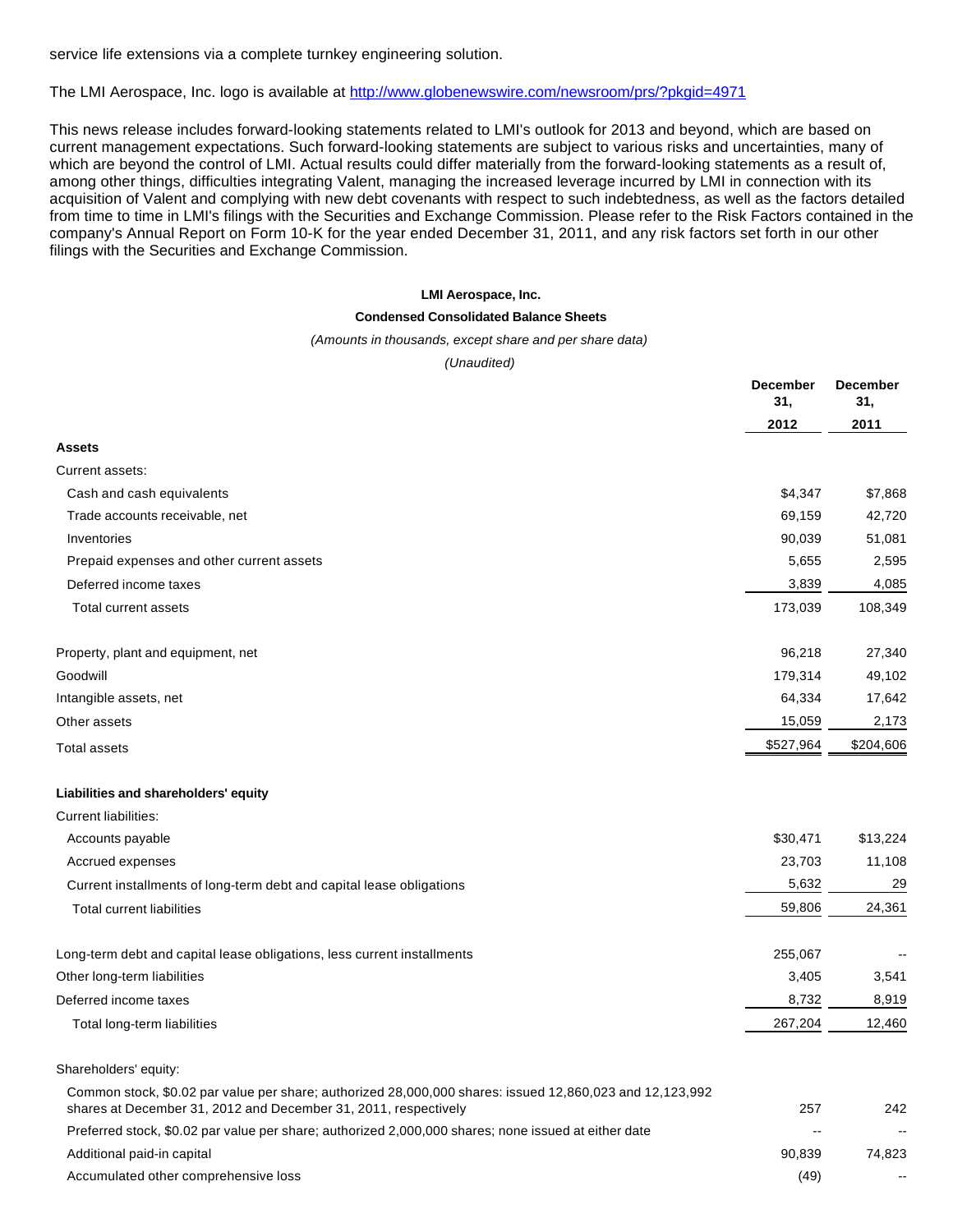service life extensions via a complete turnkey engineering solution.

The LMI Aerospace, Inc. logo is available at <http://www.globenewswire.com/newsroom/prs/?pkgid=4971>

This news release includes forward-looking statements related to LMI's outlook for 2013 and beyond, which are based on current management expectations. Such forward-looking statements are subject to various risks and uncertainties, many of which are beyond the control of LMI. Actual results could differ materially from the forward-looking statements as a result of, among other things, difficulties integrating Valent, managing the increased leverage incurred by LMI in connection with its acquisition of Valent and complying with new debt covenants with respect to such indebtedness, as well as the factors detailed from time to time in LMI's filings with the Securities and Exchange Commission. Please refer to the Risk Factors contained in the company's Annual Report on Form 10-K for the year ended December 31, 2011, and any risk factors set forth in our other filings with the Securities and Exchange Commission.

#### **LMI Aerospace, Inc.**

#### **Condensed Consolidated Balance Sheets**

#### (Amounts in thousands, except share and per share data)

(Unaudited)

|                                                                                                                                                                             | <b>December</b><br>31, | <b>December</b><br>31,   |
|-----------------------------------------------------------------------------------------------------------------------------------------------------------------------------|------------------------|--------------------------|
|                                                                                                                                                                             | 2012                   | 2011                     |
| <b>Assets</b>                                                                                                                                                               |                        |                          |
| Current assets:                                                                                                                                                             |                        |                          |
| Cash and cash equivalents                                                                                                                                                   | \$4,347                | \$7,868                  |
| Trade accounts receivable, net                                                                                                                                              | 69,159                 | 42,720                   |
| Inventories                                                                                                                                                                 | 90,039                 | 51,081                   |
| Prepaid expenses and other current assets                                                                                                                                   | 5,655                  | 2,595                    |
| Deferred income taxes                                                                                                                                                       | 3,839                  | 4,085                    |
| Total current assets                                                                                                                                                        | 173,039                | 108,349                  |
| Property, plant and equipment, net                                                                                                                                          | 96,218                 | 27,340                   |
| Goodwill                                                                                                                                                                    | 179,314                | 49,102                   |
| Intangible assets, net                                                                                                                                                      | 64,334                 | 17,642                   |
| Other assets                                                                                                                                                                | 15,059                 | 2,173                    |
| Total assets                                                                                                                                                                | \$527,964              | \$204,606                |
| Liabilities and shareholders' equity                                                                                                                                        |                        |                          |
| <b>Current liabilities:</b>                                                                                                                                                 |                        |                          |
| Accounts payable                                                                                                                                                            | \$30,471               | \$13,224                 |
| Accrued expenses                                                                                                                                                            | 23,703                 | 11,108                   |
| Current installments of long-term debt and capital lease obligations                                                                                                        | 5,632                  | 29                       |
| <b>Total current liabilities</b>                                                                                                                                            | 59,806                 | 24,361                   |
| Long-term debt and capital lease obligations, less current installments                                                                                                     | 255,067                |                          |
| Other long-term liabilities                                                                                                                                                 | 3,405                  | 3,541                    |
| Deferred income taxes                                                                                                                                                       | 8,732                  | 8,919                    |
| Total long-term liabilities                                                                                                                                                 | 267,204                | 12,460                   |
| Shareholders' equity:                                                                                                                                                       |                        |                          |
| Common stock, \$0.02 par value per share; authorized 28,000,000 shares: issued 12,860,023 and 12,123,992<br>shares at December 31, 2012 and December 31, 2011, respectively | 257                    | 242                      |
| Preferred stock, \$0.02 par value per share; authorized 2,000,000 shares; none issued at either date                                                                        | $\overline{a}$         | $\overline{\phantom{a}}$ |
| Additional paid-in capital                                                                                                                                                  | 90,839                 | 74,823                   |
| Accumulated other comprehensive loss                                                                                                                                        | (49)                   |                          |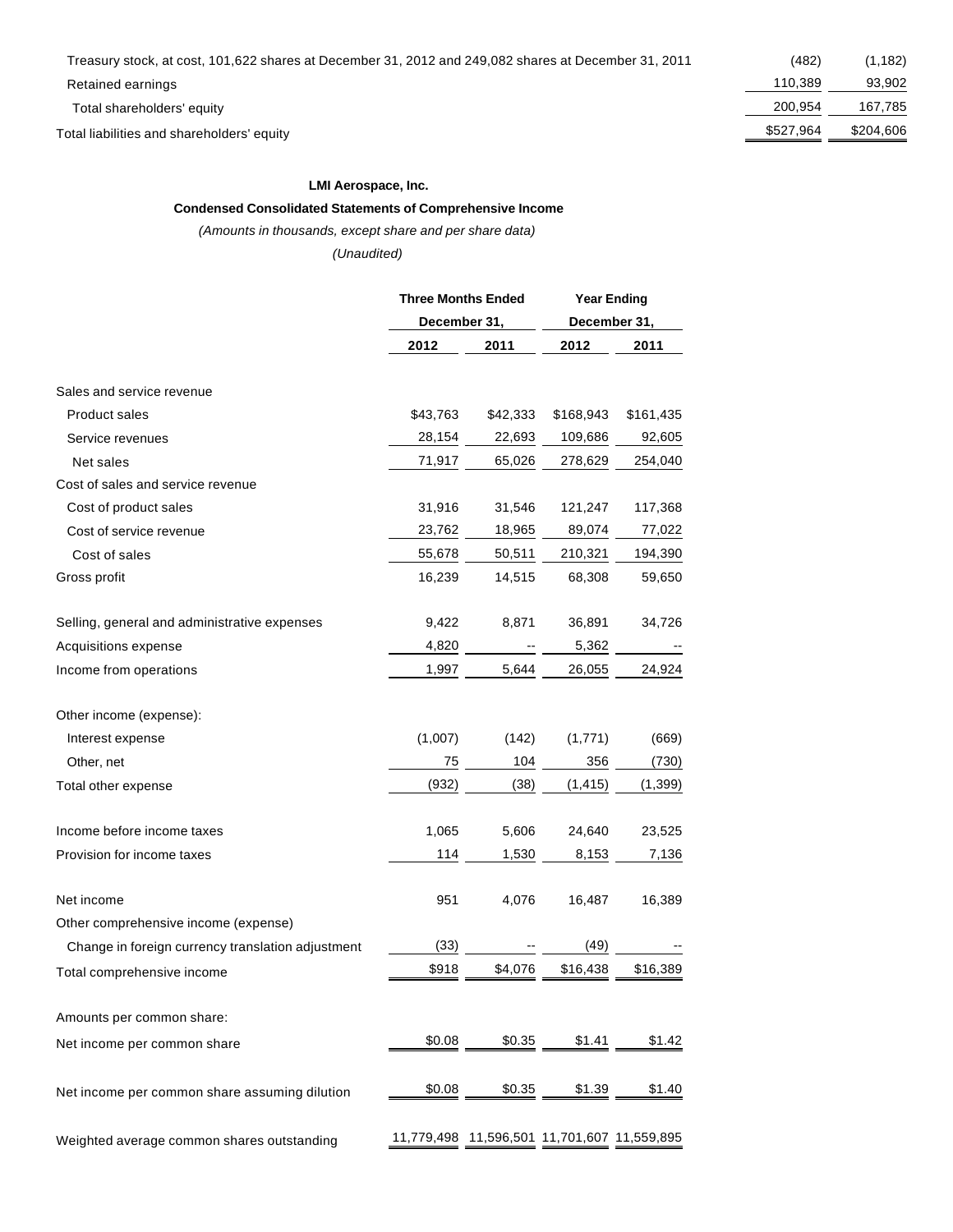Total liabilities and shareholders' equity  $\frac{$527,964}{2} \frac{$204,606}{2}$ 

#### **LMI Aerospace, Inc.**

#### **Condensed Consolidated Statements of Comprehensive Income**

#### (Amounts in thousands, except share and per share data)

(Unaudited)

|                                                    | <b>Three Months Ended</b> |                                             | <b>Year Ending</b> |              |  |
|----------------------------------------------------|---------------------------|---------------------------------------------|--------------------|--------------|--|
|                                                    |                           | December 31,                                |                    | December 31, |  |
|                                                    | 2012                      | 2011                                        | 2012               | 2011         |  |
| Sales and service revenue                          |                           |                                             |                    |              |  |
| <b>Product sales</b>                               | \$43,763                  | \$42,333                                    | \$168,943          | \$161,435    |  |
| Service revenues                                   | 28,154                    | 22,693                                      | 109,686            | 92,605       |  |
| Net sales                                          | 71,917                    | 65,026                                      | 278,629            | 254,040      |  |
| Cost of sales and service revenue                  |                           |                                             |                    |              |  |
| Cost of product sales                              | 31,916                    | 31,546                                      | 121,247            | 117,368      |  |
| Cost of service revenue                            | 23,762                    | 18,965                                      | 89,074             | 77,022       |  |
| Cost of sales                                      | 55,678                    | 50,511                                      | 210,321            | 194,390      |  |
| Gross profit                                       | 16,239                    | 14,515                                      | 68,308             | 59,650       |  |
| Selling, general and administrative expenses       | 9,422                     | 8,871                                       | 36,891             | 34,726       |  |
| Acquisitions expense                               | 4,820                     |                                             | 5,362              |              |  |
| Income from operations                             | 1,997                     | 5,644                                       | 26,055             | 24,924       |  |
| Other income (expense):                            |                           |                                             |                    |              |  |
| Interest expense                                   | (1,007)                   | (142)                                       | (1,771)            | (669)        |  |
| Other, net                                         | 75                        | 104                                         | 356                | (730)        |  |
| Total other expense                                | (932)                     | (38)                                        | (1, 415)           | (1, 399)     |  |
| Income before income taxes                         | 1,065                     | 5,606                                       | 24,640             | 23,525       |  |
| Provision for income taxes                         | 114                       | 1,530                                       | 8,153              | 7,136        |  |
| Net income<br>Other comprehensive income (expense) | 951                       | 4,076                                       | 16,487             | 16,389       |  |
| Change in foreign currency translation adjustment  | (33)                      |                                             | (49)               |              |  |
| Total comprehensive income                         | \$918                     | \$4,076                                     | \$16,438           | \$16,389     |  |
| Amounts per common share:                          |                           |                                             |                    |              |  |
| Net income per common share                        | \$0.08                    | \$0.35                                      | \$1.41             | \$1.42       |  |
| Net income per common share assuming dilution      | \$0.08                    | \$0.35                                      | \$1.39             | \$1.40       |  |
| Weighted average common shares outstanding         |                           | 11,779,498 11,596,501 11,701,607 11,559,895 |                    |              |  |

Retained earnings 110,389 93,902 Total shareholders' equity and the control of the control of the control of the control of the control of the control of the control of the control of the control of the control of the control of the control of the control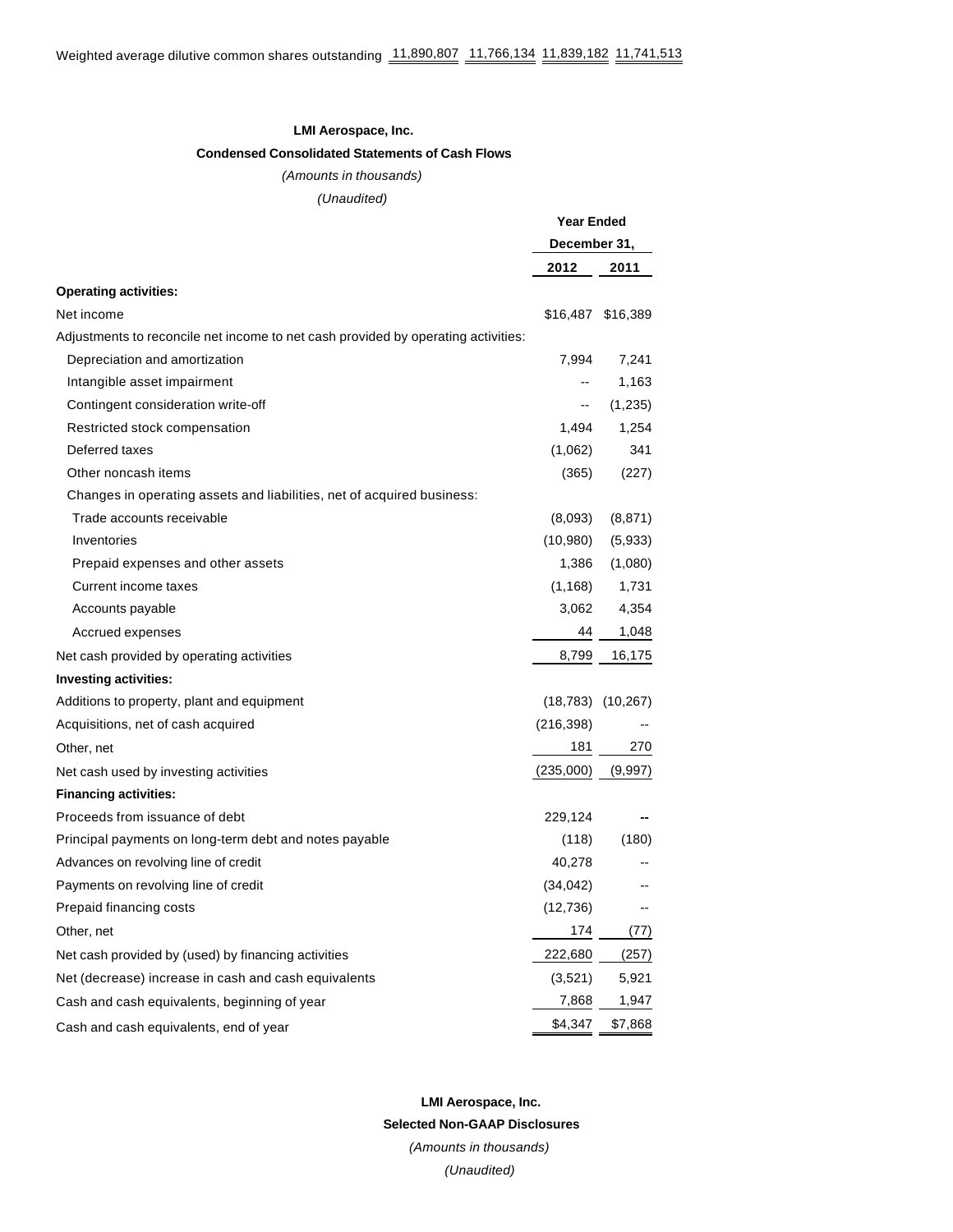#### **LMI Aerospace, Inc.**

## **Condensed Consolidated Statements of Cash Flows**

(Amounts in thousands) (Unaudited)

|                                                                                   | <b>Year Ended</b> |                          |
|-----------------------------------------------------------------------------------|-------------------|--------------------------|
|                                                                                   | December 31,      |                          |
|                                                                                   | 2012              | 2011                     |
| <b>Operating activities:</b>                                                      |                   |                          |
| Net income                                                                        |                   | \$16,487 \$16,389        |
| Adjustments to reconcile net income to net cash provided by operating activities: |                   |                          |
| Depreciation and amortization                                                     | 7,994             | 7,241                    |
| Intangible asset impairment                                                       | --                | 1,163                    |
| Contingent consideration write-off                                                | --                | (1,235)                  |
| Restricted stock compensation                                                     | 1,494             | 1,254                    |
| Deferred taxes                                                                    | (1,062)           | 341                      |
| Other noncash items                                                               | (365)             | (227)                    |
| Changes in operating assets and liabilities, net of acquired business:            |                   |                          |
| Trade accounts receivable                                                         | (8,093)           | (8, 871)                 |
| Inventories                                                                       | (10,980)          | (5,933)                  |
| Prepaid expenses and other assets                                                 | 1,386             | (1,080)                  |
| Current income taxes                                                              | (1, 168)          | 1,731                    |
| Accounts payable                                                                  | 3,062             | 4,354                    |
| Accrued expenses                                                                  | 44                | 1,048                    |
| Net cash provided by operating activities                                         | 8,799             | 16,175                   |
| Investing activities:                                                             |                   |                          |
| Additions to property, plant and equipment                                        |                   | $(18,783)$ $(10,267)$    |
| Acquisitions, net of cash acquired                                                | (216, 398)        |                          |
| Other, net                                                                        | 181               | 270                      |
| Net cash used by investing activities                                             | (235,000)         | (9,997)                  |
| <b>Financing activities:</b>                                                      |                   |                          |
| Proceeds from issuance of debt                                                    | 229,124           |                          |
| Principal payments on long-term debt and notes payable                            | (118)             | (180)                    |
| Advances on revolving line of credit                                              | 40,278            |                          |
| Payments on revolving line of credit                                              | (34, 042)         | $\overline{\phantom{a}}$ |
| Prepaid financing costs                                                           | (12,736)          | --                       |
| Other, net                                                                        | 174               | (77)                     |
| Net cash provided by (used) by financing activities                               | 222,680           | (257)                    |
| Net (decrease) increase in cash and cash equivalents                              | (3,521)           | 5,921                    |
| Cash and cash equivalents, beginning of year                                      | 7,868             | 1,947                    |
| Cash and cash equivalents, end of year                                            | \$4,347           | \$7,868                  |

**LMI Aerospace, Inc. Selected Non-GAAP Disclosures** (Amounts in thousands) (Unaudited)